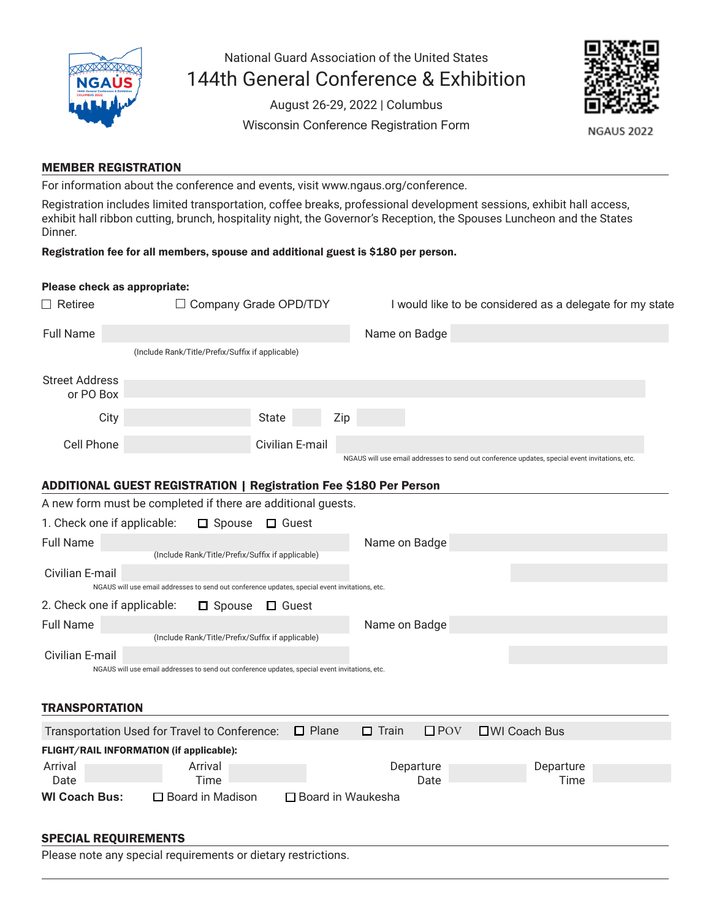

National Guard Association of the United States 144th General Conference & Exhibition

> August 26-29, 2022 | Columbus Wisconsin Conference Registration Form



**NGAUS 2022** 

## MEMBER REGISTRATION

For information about the conference and events, visit www.ngaus.org/conference.

Registration includes limited transportation, coffee breaks, professional development sessions, exhibit hall access, exhibit hall ribbon cutting, brunch, hospitality night, the Governor's Reception, the Spouses Luncheon and the States Dinner.

#### Registration fee for all members, spouse and additional guest is \$180 per person.

### Please check as appropriate:

| $\Box$ Retiree                                                                                                    |                                                                                                                                                    | □ Company Grade OPD/TDY | I would like to be considered as a delegate for my state |                                                                                                |  |  |  |  |  |  |  |
|-------------------------------------------------------------------------------------------------------------------|----------------------------------------------------------------------------------------------------------------------------------------------------|-------------------------|----------------------------------------------------------|------------------------------------------------------------------------------------------------|--|--|--|--|--|--|--|
| <b>Full Name</b>                                                                                                  |                                                                                                                                                    |                         | Name on Badge                                            |                                                                                                |  |  |  |  |  |  |  |
|                                                                                                                   | (Include Rank/Title/Prefix/Suffix if applicable)                                                                                                   |                         |                                                          |                                                                                                |  |  |  |  |  |  |  |
| <b>Street Address</b><br>or PO Box                                                                                |                                                                                                                                                    |                         |                                                          |                                                                                                |  |  |  |  |  |  |  |
| City                                                                                                              |                                                                                                                                                    | <b>State</b><br>Zip     |                                                          |                                                                                                |  |  |  |  |  |  |  |
| Cell Phone                                                                                                        |                                                                                                                                                    | Civilian E-mail         |                                                          | NGAUS will use email addresses to send out conference updates, special event invitations, etc. |  |  |  |  |  |  |  |
| <b>ADDITIONAL GUEST REGISTRATION   Registration Fee \$180 Per Person</b>                                          |                                                                                                                                                    |                         |                                                          |                                                                                                |  |  |  |  |  |  |  |
|                                                                                                                   | A new form must be completed if there are additional guests.                                                                                       |                         |                                                          |                                                                                                |  |  |  |  |  |  |  |
| 1. Check one if applicable:                                                                                       | $\Box$ Spouse                                                                                                                                      | $\Box$ Guest            |                                                          |                                                                                                |  |  |  |  |  |  |  |
| <b>Full Name</b>                                                                                                  |                                                                                                                                                    |                         | Name on Badge                                            |                                                                                                |  |  |  |  |  |  |  |
| Civilian E-mail                                                                                                   | (Include Rank/Title/Prefix/Suffix if applicable)<br>NGAUS will use email addresses to send out conference updates, special event invitations, etc. |                         |                                                          |                                                                                                |  |  |  |  |  |  |  |
| 2. Check one if applicable:                                                                                       | $\square$ Spouse                                                                                                                                   | $\Box$ Guest            |                                                          |                                                                                                |  |  |  |  |  |  |  |
| <b>Full Name</b>                                                                                                  | (Include Rank/Title/Prefix/Suffix if applicable)                                                                                                   |                         | Name on Badge                                            |                                                                                                |  |  |  |  |  |  |  |
| Civilian E-mail<br>NGAUS will use email addresses to send out conference updates, special event invitations, etc. |                                                                                                                                                    |                         |                                                          |                                                                                                |  |  |  |  |  |  |  |
| <b>TRANSPORTATION</b>                                                                                             |                                                                                                                                                    |                         |                                                          |                                                                                                |  |  |  |  |  |  |  |
|                                                                                                                   | Transportation Used for Travel to Conference:                                                                                                      | $\Box$ Plane            | $\Box$ Train<br>$\square$ POV                            | □WI Coach Bus                                                                                  |  |  |  |  |  |  |  |
|                                                                                                                   | FLIGHT/RAIL INFORMATION (if applicable):                                                                                                           |                         |                                                          |                                                                                                |  |  |  |  |  |  |  |
| Arrival<br>Date                                                                                                   | Arrival<br>Time                                                                                                                                    |                         | Departure<br>Date                                        | Departure<br>Time                                                                              |  |  |  |  |  |  |  |
| <b>WI Coach Bus:</b>                                                                                              | □ Board in Madison                                                                                                                                 | □ Board in Waukesha     |                                                          |                                                                                                |  |  |  |  |  |  |  |
| <b>SPECIAL REQUIREMENTS</b>                                                                                       |                                                                                                                                                    |                         |                                                          |                                                                                                |  |  |  |  |  |  |  |

Please note any special requirements or dietary restrictions.